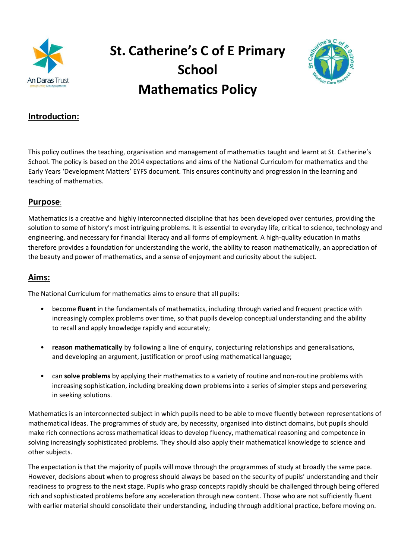

# **St. Catherine's C of E Primary School Mathematics Policy**



# **Introduction:**

This policy outlines the teaching, organisation and management of mathematics taught and learnt at St. Catherine's School. The policy is based on the 2014 expectations and aims of the National Curriculom for mathematics and the Early Years 'Development Matters' EYFS document. This ensures continuity and progression in the learning and teaching of mathematics.

#### **Purpose**:

Mathematics is a creative and highly interconnected discipline that has been developed over centuries, providing the solution to some of history's most intriguing problems. It is essential to everyday life, critical to science, technology and engineering, and necessary for financial literacy and all forms of employment. A high-quality education in maths therefore provides a foundation for understanding the world, the ability to reason mathematically, an appreciation of the beauty and power of mathematics, and a sense of enjoyment and curiosity about the subject.

#### **Aims:**

The National Curriculum for mathematics aims to ensure that all pupils:

- become **fluent** in the fundamentals of mathematics, including through varied and frequent practice with increasingly complex problems over time, so that pupils develop conceptual understanding and the ability to recall and apply knowledge rapidly and accurately;
- **reason mathematically** by following a line of enquiry, conjecturing relationships and generalisations, and developing an argument, justification or proof using mathematical language;
- can **solve problems** by applying their mathematics to a variety of routine and non-routine problems with increasing sophistication, including breaking down problems into a series of simpler steps and persevering in seeking solutions.

Mathematics is an interconnected subject in which pupils need to be able to move fluently between representations of mathematical ideas. The programmes of study are, by necessity, organised into distinct domains, but pupils should make rich connections across mathematical ideas to develop fluency, mathematical reasoning and competence in solving increasingly sophisticated problems. They should also apply their mathematical knowledge to science and other subjects.

The expectation is that the majority of pupils will move through the programmes of study at broadly the same pace. However, decisions about when to progress should always be based on the security of pupils' understanding and their readiness to progress to the next stage. Pupils who grasp concepts rapidly should be challenged through being offered rich and sophisticated problems before any acceleration through new content. Those who are not sufficiently fluent with earlier material should consolidate their understanding, including through additional practice, before moving on.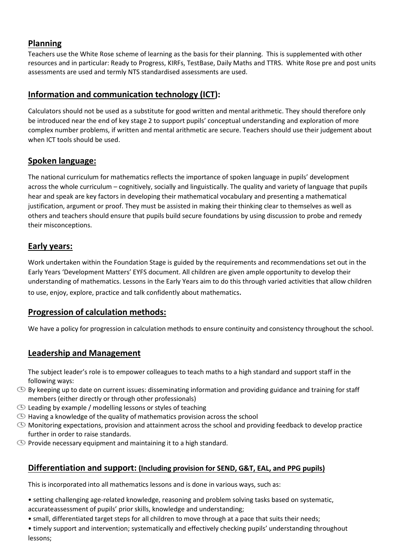# **Planning**

Teachers use the White Rose scheme of learning as the basis for their planning. This is supplemented with other resources and in particular: Ready to Progress, KIRFs, TestBase, Daily Maths and TTRS. White Rose pre and post units assessments are used and termly NTS standardised assessments are used.

# **Information and communication technology (ICT):**

Calculators should not be used as a substitute for good written and mental arithmetic. They should therefore only be introduced near the end of key stage 2 to support pupils' conceptual understanding and exploration of more complex number problems, if written and mental arithmetic are secure. Teachers should use their judgement about when ICT tools should be used.

# **Spoken language:**

The national curriculum for mathematics reflects the importance of spoken language in pupils' development across the whole curriculum – cognitively, socially and linguistically. The quality and variety of language that pupils hear and speak are key factors in developing their mathematical vocabulary and presenting a mathematical justification, argument or proof. They must be assisted in making their thinking clear to themselves as well as others and teachers should ensure that pupils build secure foundations by using discussion to probe and remedy their misconceptions.

## **Early years:**

Work undertaken within the Foundation Stage is guided by the requirements and recommendations set out in the Early Years 'Development Matters' EYFS document. All children are given ample opportunity to develop their understanding of mathematics. Lessons in the Early Years aim to do this through varied activities that allow children to use, enjoy, explore, practice and talk confidently about mathematics.

## **Progression of calculation methods:**

We have a policy for progression in calculation methods to ensure continuity and consistency throughout the school.

## **Leadership and Management**

The subject leader's role is to empower colleagues to teach maths to a high standard and support staff in the following ways:

- $\mathbb B$  By keeping up to date on current issues: disseminating information and providing guidance and training for staff members (either directly or through other professionals)
- $\mathbb G$  Leading by example / modelling lessons or styles of teaching
- $\circled{S}$  Having a knowledge of the quality of mathematics provision across the school
- Monitoring expectations, provision and attainment across the school and providing feedback to develop practice further in order to raise standards.
- $\circledS$  Provide necessary equipment and maintaining it to a high standard.

## **Differentiation and support: (Including provision for SEND, G&T, EAL, and PPG pupils)**

This is incorporated into all mathematics lessons and is done in various ways, such as:

- setting challenging age-related knowledge, reasoning and problem solving tasks based on systematic, accurateassessment of pupils' prior skills, knowledge and understanding;
- small, differentiated target steps for all children to move through at a pace that suits their needs;
- timely support and intervention; systematically and effectively checking pupils' understanding throughout lessons;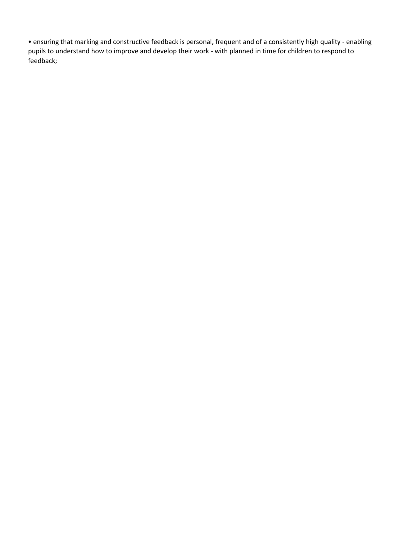• ensuring that marking and constructive feedback is personal, frequent and of a consistently high quality - enabling pupils to understand how to improve and develop their work - with planned in time for children to respond to feedback;